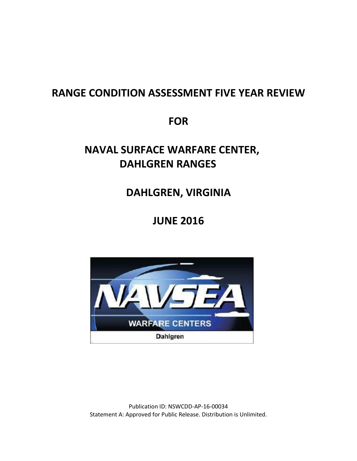# **RANGE CONDITION ASSESSMENT FIVE YEAR REVIEW**

**FOR**

# **NAVAL SURFACE WARFARE CENTER, DAHLGREN RANGES**

**DAHLGREN, VIRGINIA** 

**JUNE 2016**



Publication ID: NSWCDD-AP-16-00034 Statement A: Approved for Public Release. Distribution is Unlimited.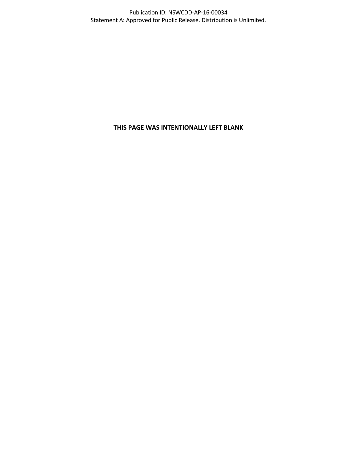# **THIS PAGE WAS INTENTIONALLY LEFT BLANK**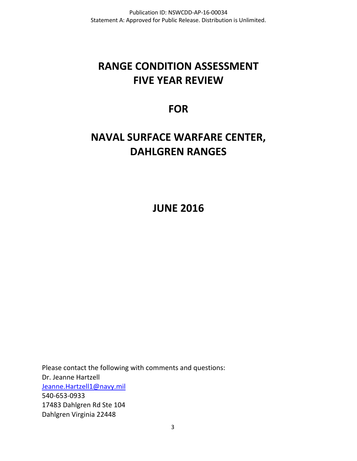# **RANGE CONDITION ASSESSMENT FIVE YEAR REVIEW**

# **FOR**

# **NAVAL SURFACE WARFARE CENTER, DAHLGREN RANGES**

**JUNE 2016**

Please contact the following with comments and questions: Dr. Jeanne Hartzell [Jeanne.Hartzell1@navy.mil](mailto:Jeanne.Hartzell1@navy.mil) 540-653-0933 17483 Dahlgren Rd Ste 104 Dahlgren Virginia 22448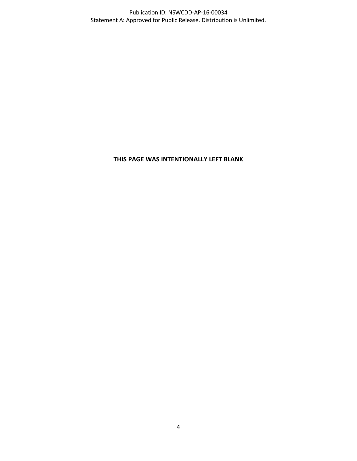#### **THIS PAGE WAS INTENTIONALLY LEFT BLANK**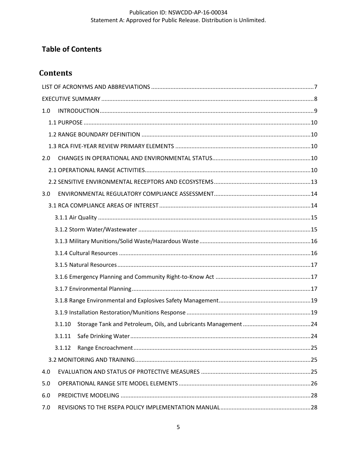# **Table of Contents**

# **Contents**

| 1.0 |        |  |  |  |  |  |
|-----|--------|--|--|--|--|--|
|     |        |  |  |  |  |  |
|     |        |  |  |  |  |  |
|     |        |  |  |  |  |  |
| 2.0 |        |  |  |  |  |  |
|     |        |  |  |  |  |  |
|     |        |  |  |  |  |  |
| 3.0 |        |  |  |  |  |  |
|     |        |  |  |  |  |  |
|     |        |  |  |  |  |  |
|     |        |  |  |  |  |  |
|     |        |  |  |  |  |  |
|     |        |  |  |  |  |  |
|     |        |  |  |  |  |  |
|     |        |  |  |  |  |  |
|     |        |  |  |  |  |  |
|     |        |  |  |  |  |  |
|     |        |  |  |  |  |  |
|     |        |  |  |  |  |  |
|     | 3.1.10 |  |  |  |  |  |
|     | 3.1.11 |  |  |  |  |  |
|     | 3.1.12 |  |  |  |  |  |
|     |        |  |  |  |  |  |
| 4.0 |        |  |  |  |  |  |
| 5.0 |        |  |  |  |  |  |
| 6.0 |        |  |  |  |  |  |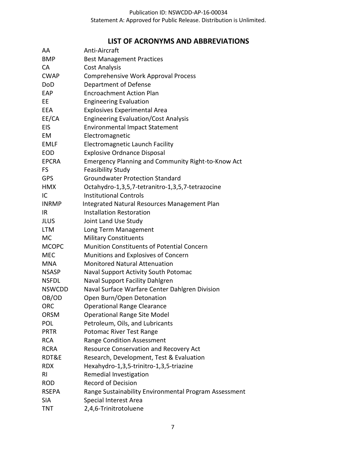# **LIST OF ACRONYMS AND ABBREVIATIONS**

<span id="page-6-0"></span>

| AA            | Anti-Aircraft                                         |
|---------------|-------------------------------------------------------|
| <b>BMP</b>    | <b>Best Management Practices</b>                      |
| CA            | <b>Cost Analysis</b>                                  |
| <b>CWAP</b>   | <b>Comprehensive Work Approval Process</b>            |
| DoD           | Department of Defense                                 |
| EAP           | <b>Encroachment Action Plan</b>                       |
| EE            | <b>Engineering Evaluation</b>                         |
| EEA           | <b>Explosives Experimental Area</b>                   |
| EE/CA         | <b>Engineering Evaluation/Cost Analysis</b>           |
| <b>EIS</b>    | <b>Environmental Impact Statement</b>                 |
| EM            | Electromagnetic                                       |
| <b>EMLF</b>   | Electromagnetic Launch Facility                       |
| <b>EOD</b>    | <b>Explosive Ordnance Disposal</b>                    |
| <b>EPCRA</b>  | Emergency Planning and Community Right-to-Know Act    |
| FS            | <b>Feasibility Study</b>                              |
| <b>GPS</b>    | <b>Groundwater Protection Standard</b>                |
| <b>HMX</b>    | Octahydro-1,3,5,7-tetranitro-1,3,5,7-tetrazocine      |
| IC            | <b>Institutional Controls</b>                         |
| <b>INRMP</b>  | Integrated Natural Resources Management Plan          |
| IR            | <b>Installation Restoration</b>                       |
| <b>JLUS</b>   | Joint Land Use Study                                  |
| <b>LTM</b>    | Long Term Management                                  |
| <b>MC</b>     | <b>Military Constituents</b>                          |
| <b>MCOPC</b>  | <b>Munition Constituents of Potential Concern</b>     |
| <b>MEC</b>    | Munitions and Explosives of Concern                   |
| <b>MNA</b>    | <b>Monitored Natural Attenuation</b>                  |
| <b>NSASP</b>  | Naval Support Activity South Potomac                  |
| <b>NSFDL</b>  | Naval Support Facility Dahlgren                       |
| <b>NSWCDD</b> | Naval Surface Warfare Center Dahlgren Division        |
| OB/OD         | Open Burn/Open Detonation                             |
| <b>ORC</b>    | <b>Operational Range Clearance</b>                    |
| <b>ORSM</b>   | <b>Operational Range Site Model</b>                   |
| <b>POL</b>    | Petroleum, Oils, and Lubricants                       |
| <b>PRTR</b>   | Potomac River Test Range                              |
| <b>RCA</b>    | <b>Range Condition Assessment</b>                     |
| <b>RCRA</b>   | Resource Conservation and Recovery Act                |
| RDT&E         | Research, Development, Test & Evaluation              |
| <b>RDX</b>    | Hexahydro-1,3,5-trinitro-1,3,5-triazine               |
| RI            | Remedial Investigation                                |
| <b>ROD</b>    | <b>Record of Decision</b>                             |
| <b>RSEPA</b>  | Range Sustainability Environmental Program Assessment |
| <b>SIA</b>    | Special Interest Area                                 |
| <b>TNT</b>    | 2,4,6-Trinitrotoluene                                 |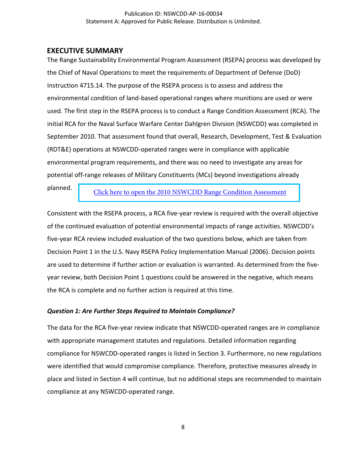#### <span id="page-7-0"></span>**EXECUTIVE SUMMARY**

The Range Sustainability Environmental Program Assessment (RSEPA) process was developed by the Chief of Naval Operations to meet the requirements of Department of Defense (DoD) Instruction 4715.14. The purpose of the RSEPA process is to assess and address the environmental condition of land-based operational ranges where munitions are used or were used. The first step in the RSEPA process is to conduct a Range Condition Assessment (RCA). The initial RCA for the Naval Surface Warfare Center Dahlgren Division (NSWCDD) was completed in September 2010. That assessment found that overall, Research, Development, Test & Evaluation (RDT&E) operations at NSWCDD-operated ranges were in compliance with applicable environmental program requirements, and there was no need to investigate any areas for potential off-range releases of Military Constituents (MCs) beyond investigations already planned.

[Click here to open the 2010 NSWCDD Range Condition Assessment](http://www.navsea.navy.mil/Portals/103/Documents/NSWC_Dahlgren/Resources/RCA2010.pdf)

Consistent with the RSEPA process, a RCA five-year review is required with the overall objective of the continued evaluation of potential environmental impacts of range activities. NSWCDD's five-year RCA review included evaluation of the two questions below, which are taken from Decision Point 1 in the U.S. Navy RSEPA Policy Implementation Manual (2006). Decision points are used to determine if further action or evaluation is warranted. As determined from the fiveyear review, both Decision Point 1 questions could be answered in the negative, which means the RCA is complete and no further action is required at this time.

#### *Question 1: Are Further Steps Required to Maintain Compliance?*

The data for the RCA five-year review indicate that NSWCDD-operated ranges are in compliance with appropriate management statutes and regulations. Detailed information regarding compliance for NSWCDD-operated ranges is listed in Section 3. Furthermore, no new regulations were identified that would compromise compliance. Therefore, protective measures already in place and listed in Section 4 will continue, but no additional steps are recommended to maintain compliance at any NSWCDD-operated range.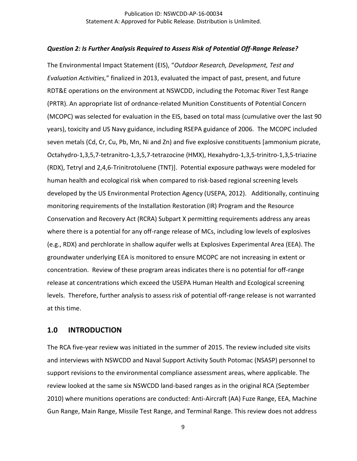#### *Question 2: Is Further Analysis Required to Assess Risk of Potential Off-Range Release?*

The Environmental Impact Statement (EIS), "*Outdoor Research, Development, Test and Evaluation Activities,*" finalized in 2013, evaluated the impact of past, present, and future RDT&E operations on the environment at NSWCDD, including the Potomac River Test Range (PRTR). An appropriate list of ordnance-related Munition Constituents of Potential Concern (MCOPC) was selected for evaluation in the EIS, based on total mass (cumulative over the last 90 years), toxicity and US Navy guidance, including RSEPA guidance of 2006. The MCOPC included seven metals (Cd, Cr, Cu, Pb, Mn, Ni and Zn) and five explosive constituents [ammonium picrate, Octahydro-1,3,5,7-tetranitro-1,3,5,7-tetrazocine (HMX), Hexahydro-1,3,5-trinitro-1,3,5-triazine (RDX), Tetryl and 2,4,6-Trinitrotoluene (TNT)]. Potential exposure pathways were modeled for human health and ecological risk when compared to risk-based regional screening levels developed by the US Environmental Protection Agency (USEPA, 2012). Additionally, continuing monitoring requirements of the Installation Restoration (IR) Program and the Resource Conservation and Recovery Act (RCRA) Subpart X permitting requirements address any areas where there is a potential for any off-range release of MCs, including low levels of explosives (e.g., RDX) and perchlorate in shallow aquifer wells at Explosives Experimental Area (EEA). The groundwater underlying EEA is monitored to ensure MCOPC are not increasing in extent or concentration. Review of these program areas indicates there is no potential for off-range release at concentrations which exceed the USEPA Human Health and Ecological screening levels. Therefore, further analysis to assess risk of potential off-range release is not warranted at this time.

## <span id="page-8-0"></span>**1.0 INTRODUCTION**

The RCA five-year review was initiated in the summer of 2015. The review included site visits and interviews with NSWCDD and Naval Support Activity South Potomac (NSASP) personnel to support revisions to the environmental compliance assessment areas, where applicable. The review looked at the same six NSWCDD land-based ranges as in the original RCA (September 2010) where munitions operations are conducted: Anti-Aircraft (AA) Fuze Range, EEA, Machine Gun Range, Main Range, Missile Test Range, and Terminal Range. This review does not address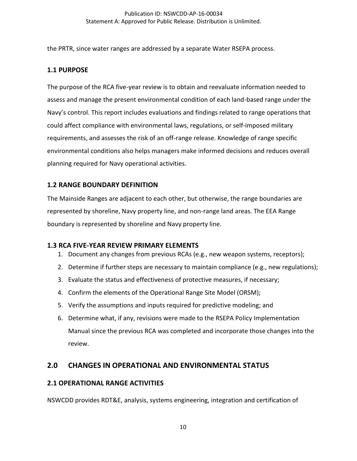the PRTR, since water ranges are addressed by a separate Water RSEPA process.

## <span id="page-9-0"></span>**1.1 PURPOSE**

The purpose of the RCA five-year review is to obtain and reevaluate information needed to assess and manage the present environmental condition of each land-based range under the Navy's control. This report includes evaluations and findings related to range operations that could affect compliance with environmental laws, regulations, or self-imposed military requirements, and assesses the risk of an off-range release. Knowledge of range specific environmental conditions also helps managers make informed decisions and reduces overall planning required for Navy operational activities.

## <span id="page-9-1"></span>**1.2 RANGE BOUNDARY DEFINITION**

The Mainside Ranges are adjacent to each other, but otherwise, the range boundaries are represented by shoreline, Navy property line, and non-range land areas. The EEA Range boundary is represented by shoreline and Navy property line.

## <span id="page-9-2"></span>**1.3 RCA FIVE-YEAR REVIEW PRIMARY ELEMENTS**

- 1. Document any changes from previous RCAs (e.g., new weapon systems, receptors);
- 2. Determine if further steps are necessary to maintain compliance (e.g., new regulations);
- 3. Evaluate the status and effectiveness of protective measures, if necessary;
- 4. Confirm the elements of the Operational Range Site Model (ORSM);
- 5. Verify the assumptions and inputs required for predictive modeling; and
- 6. Determine what, if any, revisions were made to the RSEPA Policy Implementation Manual since the previous RCA was completed and incorporate those changes into the review.

# <span id="page-9-3"></span>**2.0 CHANGES IN OPERATIONAL AND ENVIRONMENTAL STATUS**

## <span id="page-9-4"></span>**2.1 OPERATIONAL RANGE ACTIVITIES**

NSWCDD provides RDT&E, analysis, systems engineering, integration and certification of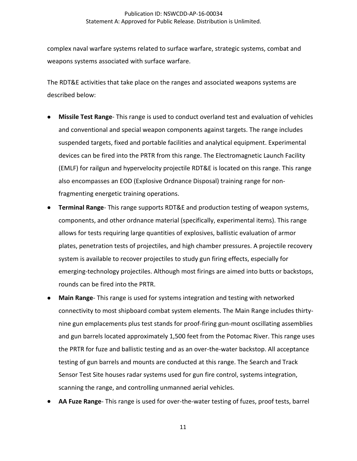complex naval warfare systems related to surface warfare, strategic systems, combat and weapons systems associated with surface warfare.

The RDT&E activities that take place on the ranges and associated weapons systems are described below:

- **Missile Test Range** This range is used to conduct overland test and evaluation of vehicles and conventional and special weapon components against targets. The range includes suspended targets, fixed and portable facilities and analytical equipment. Experimental devices can be fired into the PRTR from this range. The Electromagnetic Launch Facility (EMLF) for railgun and hypervelocity projectile RDT&E is located on this range. This range also encompasses an EOD (Explosive Ordnance Disposal) training range for nonfragmenting energetic training operations.
- **Terminal Range** This range supports RDT&E and production testing of weapon systems, components, and other ordnance material (specifically, experimental items). This range allows for tests requiring large quantities of explosives, ballistic evaluation of armor plates, penetration tests of projectiles, and high chamber pressures. A projectile recovery system is available to recover projectiles to study gun firing effects, especially for emerging-technology projectiles. Although most firings are aimed into butts or backstops, rounds can be fired into the PRTR.
- **Main Range** This range is used for systems integration and testing with networked connectivity to most shipboard combat system elements. The Main Range includes thirtynine gun emplacements plus test stands for proof-firing gun-mount oscillating assemblies and gun barrels located approximately 1,500 feet from the Potomac River. This range uses the PRTR for fuze and ballistic testing and as an over-the-water backstop. All acceptance testing of gun barrels and mounts are conducted at this range. The Search and Track Sensor Test Site houses radar systems used for gun fire control, systems integration, scanning the range, and controlling unmanned aerial vehicles.
- **AA Fuze Range** This range is used for over-the-water testing of fuzes, proof tests, barrel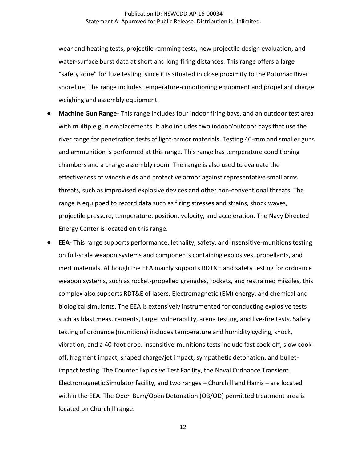wear and heating tests, projectile ramming tests, new projectile design evaluation, and water-surface burst data at short and long firing distances. This range offers a large "safety zone" for fuze testing, since it is situated in close proximity to the Potomac River shoreline. The range includes temperature-conditioning equipment and propellant charge weighing and assembly equipment.

- **Machine Gun Range** This range includes four indoor firing bays, and an outdoor test area with multiple gun emplacements. It also includes two indoor/outdoor bays that use the river range for penetration tests of light-armor materials. Testing 40-mm and smaller guns and ammunition is performed at this range. This range has temperature conditioning chambers and a charge assembly room. The range is also used to evaluate the effectiveness of windshields and protective armor against representative small arms threats, such as improvised explosive devices and other non-conventional threats. The range is equipped to record data such as firing stresses and strains, shock waves, projectile pressure, temperature, position, velocity, and acceleration. The Navy Directed Energy Center is located on this range.
- **EEA** This range supports performance, lethality, safety, and insensitive-munitions testing on full-scale weapon systems and components containing explosives, propellants, and inert materials. Although the EEA mainly supports RDT&E and safety testing for ordnance weapon systems, such as rocket-propelled grenades, rockets, and restrained missiles, this complex also supports RDT&E of lasers, Electromagnetic (EM) energy, and chemical and biological simulants. The EEA is extensively instrumented for conducting explosive tests such as blast measurements, target vulnerability, arena testing, and live-fire tests. Safety testing of ordnance (munitions) includes temperature and humidity cycling, shock, vibration, and a 40-foot drop. Insensitive-munitions tests include fast cook-off, slow cookoff, fragment impact, shaped charge/jet impact, sympathetic detonation, and bulletimpact testing. The Counter Explosive Test Facility, the Naval Ordnance Transient Electromagnetic Simulator facility, and two ranges – Churchill and Harris – are located within the EEA. The Open Burn/Open Detonation (OB/OD) permitted treatment area is located on Churchill range.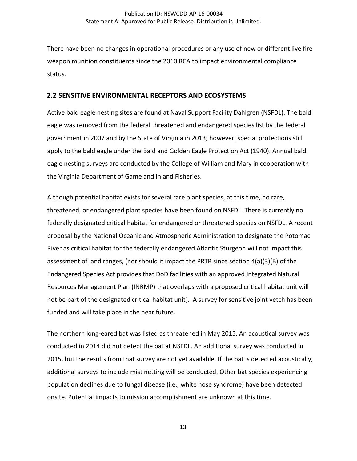There have been no changes in operational procedures or any use of new or different live fire weapon munition constituents since the 2010 RCA to impact environmental compliance status.

#### <span id="page-12-0"></span>**2.2 SENSITIVE ENVIRONMENTAL RECEPTORS AND ECOSYSTEMS**

Active bald eagle nesting sites are found at Naval Support Facility Dahlgren (NSFDL). The bald eagle was removed from the federal threatened and endangered species list by the federal government in 2007 and by the State of Virginia in 2013; however, special protections still apply to the bald eagle under the Bald and Golden Eagle Protection Act (1940). Annual bald eagle nesting surveys are conducted by the College of William and Mary in cooperation with the Virginia Department of Game and Inland Fisheries.

Although potential habitat exists for several rare plant species, at this time, no rare, threatened, or endangered plant species have been found on NSFDL. There is currently no federally designated critical habitat for endangered or threatened species on NSFDL. A recent proposal by the National Oceanic and Atmospheric Administration to designate the Potomac River as critical habitat for the federally endangered Atlantic Sturgeon will not impact this assessment of land ranges, (nor should it impact the PRTR since section 4(a)(3)(B) of the Endangered Species Act provides that DoD facilities with an approved Integrated Natural Resources Management Plan (INRMP) that overlaps with a proposed critical habitat unit will not be part of the designated critical habitat unit). A survey for sensitive joint vetch has been funded and will take place in the near future.

The northern long-eared bat was listed as threatened in May 2015. An acoustical survey was conducted in 2014 did not detect the bat at NSFDL. An additional survey was conducted in 2015, but the results from that survey are not yet available. If the bat is detected acoustically, additional surveys to include mist netting will be conducted. Other bat species experiencing population declines due to fungal disease (i.e., white nose syndrome) have been detected onsite. Potential impacts to mission accomplishment are unknown at this time.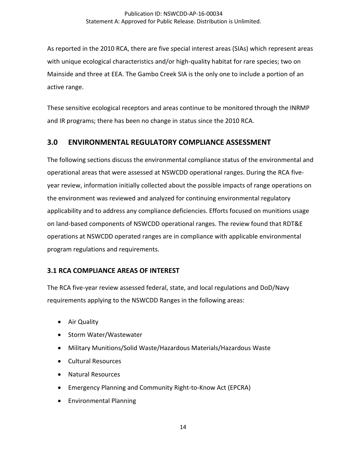As reported in the 2010 RCA, there are five special interest areas (SIAs) which represent areas with unique ecological characteristics and/or high-quality habitat for rare species; two on Mainside and three at EEA. The Gambo Creek SIA is the only one to include a portion of an active range.

These sensitive ecological receptors and areas continue to be monitored through the INRMP and IR programs; there has been no change in status since the 2010 RCA.

# <span id="page-13-0"></span>**3.0 ENVIRONMENTAL REGULATORY COMPLIANCE ASSESSMENT**

The following sections discuss the environmental compliance status of the environmental and operational areas that were assessed at NSWCDD operational ranges. During the RCA fiveyear review, information initially collected about the possible impacts of range operations on the environment was reviewed and analyzed for continuing environmental regulatory applicability and to address any compliance deficiencies. Efforts focused on munitions usage on land-based components of NSWCDD operational ranges. The review found that RDT&E operations at NSWCDD operated ranges are in compliance with applicable environmental program regulations and requirements.

## <span id="page-13-1"></span>**3.1 RCA COMPLIANCE AREAS OF INTEREST**

The RCA five-year review assessed federal, state, and local regulations and DoD/Navy requirements applying to the NSWCDD Ranges in the following areas:

- Air Quality
- Storm Water/Wastewater
- Military Munitions/Solid Waste/Hazardous Materials/Hazardous Waste
- Cultural Resources
- Natural Resources
- Emergency Planning and Community Right-to-Know Act (EPCRA)
- Environmental Planning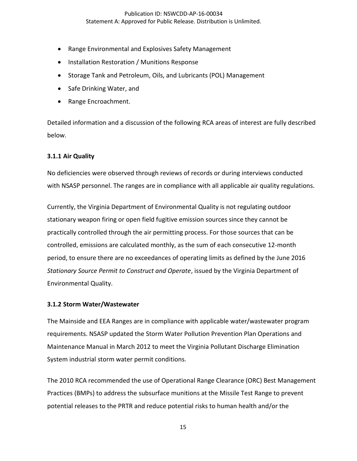- Range Environmental and Explosives Safety Management
- Installation Restoration / Munitions Response
- Storage Tank and Petroleum, Oils, and Lubricants (POL) Management
- Safe Drinking Water, and
- Range Encroachment.

Detailed information and a discussion of the following RCA areas of interest are fully described below.

#### <span id="page-14-0"></span>**3.1.1 Air Quality**

No deficiencies were observed through reviews of records or during interviews conducted with NSASP personnel. The ranges are in compliance with all applicable air quality regulations.

Currently, the Virginia Department of Environmental Quality is not regulating outdoor stationary weapon firing or open field fugitive emission sources since they cannot be practically controlled through the air permitting process. For those sources that can be controlled, emissions are calculated monthly, as the sum of each consecutive 12-month period, to ensure there are no exceedances of operating limits as defined by the June 2016 *Stationary Source Permit to Construct and Operate*, issued by the Virginia Department of Environmental Quality.

#### <span id="page-14-1"></span>**3.1.2 Storm Water/Wastewater**

The Mainside and EEA Ranges are in compliance with applicable water/wastewater program requirements. NSASP updated the Storm Water Pollution Prevention Plan Operations and Maintenance Manual in March 2012 to meet the Virginia Pollutant Discharge Elimination System industrial storm water permit conditions.

The 2010 RCA recommended the use of Operational Range Clearance (ORC) Best Management Practices (BMPs) to address the subsurface munitions at the Missile Test Range to prevent potential releases to the PRTR and reduce potential risks to human health and/or the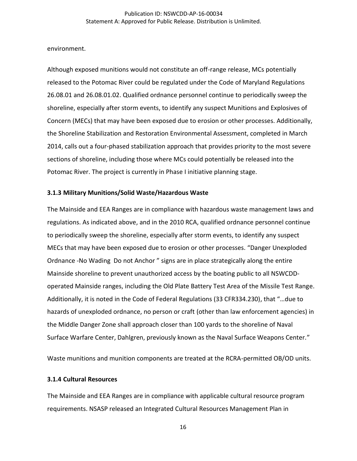environment.

Although exposed munitions would not constitute an off-range release, MCs potentially released to the Potomac River could be regulated under the Code of Maryland Regulations 26.08.01 and 26.08.01.02. Qualified ordnance personnel continue to periodically sweep the shoreline, especially after storm events, to identify any suspect Munitions and Explosives of Concern (MECs) that may have been exposed due to erosion or other processes. Additionally, the Shoreline Stabilization and Restoration Environmental Assessment, completed in March 2014, calls out a four-phased stabilization approach that provides priority to the most severe sections of shoreline, including those where MCs could potentially be released into the Potomac River. The project is currently in Phase I initiative planning stage.

#### <span id="page-15-0"></span>**3.1.3 Military Munitions/Solid Waste/Hazardous Waste**

The Mainside and EEA Ranges are in compliance with hazardous waste management laws and regulations. As indicated above, and in the 2010 RCA, qualified ordnance personnel continue to periodically sweep the shoreline, especially after storm events, to identify any suspect MECs that may have been exposed due to erosion or other processes. "Danger Unexploded Ordnance -No Wading Do not Anchor " signs are in place strategically along the entire Mainside shoreline to prevent unauthorized access by the boating public to all NSWCDDoperated Mainside ranges, including the Old Plate Battery Test Area of the Missile Test Range. Additionally, it is noted in the Code of Federal Regulations (33 CFR334.230), that "…due to hazards of unexploded ordnance, no person or craft (other than law enforcement agencies) in the Middle Danger Zone shall approach closer than 100 yards to the shoreline of Naval Surface Warfare Center, Dahlgren, previously known as the Naval Surface Weapons Center."

Waste munitions and munition components are treated at the RCRA-permitted OB/OD units.

#### <span id="page-15-1"></span>**3.1.4 Cultural Resources**

The Mainside and EEA Ranges are in compliance with applicable cultural resource program requirements. NSASP released an Integrated Cultural Resources Management Plan in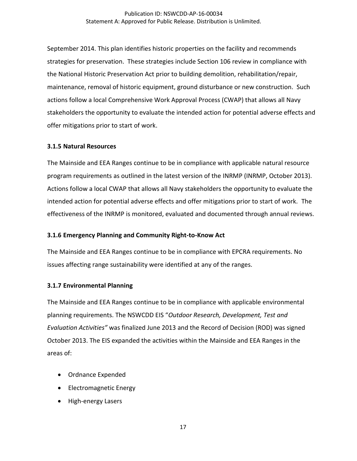September 2014. This plan identifies historic properties on the facility and recommends strategies for preservation. These strategies include Section 106 review in compliance with the National Historic Preservation Act prior to building demolition, rehabilitation/repair, maintenance, removal of historic equipment, ground disturbance or new construction. Such actions follow a local Comprehensive Work Approval Process (CWAP) that allows all Navy stakeholders the opportunity to evaluate the intended action for potential adverse effects and offer mitigations prior to start of work.

#### <span id="page-16-0"></span>**3.1.5 Natural Resources**

The Mainside and EEA Ranges continue to be in compliance with applicable natural resource program requirements as outlined in the latest version of the INRMP (INRMP, October 2013). Actions follow a local CWAP that allows all Navy stakeholders the opportunity to evaluate the intended action for potential adverse effects and offer mitigations prior to start of work. The effectiveness of the INRMP is monitored, evaluated and documented through annual reviews.

## <span id="page-16-1"></span>**3.1.6 Emergency Planning and Community Right-to-Know Act**

The Mainside and EEA Ranges continue to be in compliance with EPCRA requirements. No issues affecting range sustainability were identified at any of the ranges.

## <span id="page-16-2"></span>**3.1.7 Environmental Planning**

The Mainside and EEA Ranges continue to be in compliance with applicable environmental planning requirements. The NSWCDD EIS "*Outdoor Research, Development, Test and Evaluation Activities"* was finalized June 2013 and the Record of Decision (ROD) was signed October 2013. The EIS expanded the activities within the Mainside and EEA Ranges in the areas of:

- Ordnance Expended
- Electromagnetic Energy
- High-energy Lasers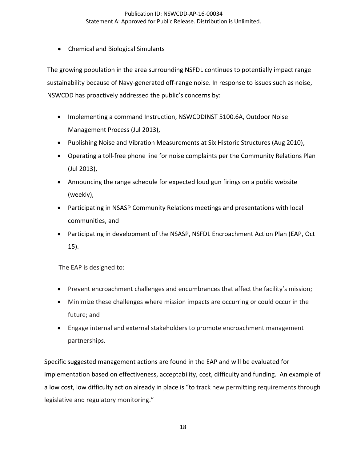Chemical and Biological Simulants

The growing population in the area surrounding NSFDL continues to potentially impact range sustainability because of Navy-generated off-range noise. In response to issues such as noise, NSWCDD has proactively addressed the public's concerns by:

- Implementing a command Instruction, NSWCDDINST 5100.6A, Outdoor Noise Management Process (Jul 2013),
- Publishing Noise and Vibration Measurements at Six Historic Structures (Aug 2010),
- Operating a toll-free phone line for noise complaints per the Community Relations Plan (Jul 2013),
- Announcing the range schedule for expected loud gun firings on a public website (weekly),
- Participating in NSASP Community Relations meetings and presentations with local communities, and
- Participating in development of the NSASP, NSFDL Encroachment Action Plan (EAP, Oct 15).

The EAP is designed to:

- Prevent encroachment challenges and encumbrances that affect the facility's mission;
- Minimize these challenges where mission impacts are occurring or could occur in the future; and
- Engage internal and external stakeholders to promote encroachment management partnerships.

Specific suggested management actions are found in the EAP and will be evaluated for implementation based on effectiveness, acceptability, cost, difficulty and funding. An example of a low cost, low difficulty action already in place is "to track new permitting requirements through legislative and regulatory monitoring."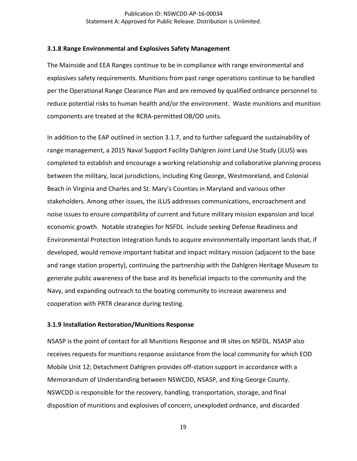#### <span id="page-18-0"></span>**3.1.8 Range Environmental and Explosives Safety Management**

The Mainside and EEA Ranges continue to be in compliance with range environmental and explosives safety requirements. Munitions from past range operations continue to be handled per the Operational Range Clearance Plan and are removed by qualified ordnance personnel to reduce potential risks to human health and/or the environment. Waste munitions and munition components are treated at the RCRA-permitted OB/OD units.

In addition to the EAP outlined in section 3.1.7, and to further safeguard the sustainability of range management, a 2015 Naval Support Facility Dahlgren Joint Land Use Study (JLUS) was completed to establish and encourage a working relationship and collaborative planning process between the military, local jurisdictions, including King George, Westmoreland, and Colonial Beach in Virginia and Charles and St. Mary's Counties in Maryland and various other stakeholders. Among other issues, the JLUS addresses communications, encroachment and noise issues to ensure compatibility of current and future military mission expansion and local economic growth. Notable strategies for NSFDL include seeking Defense Readiness and Environmental Protection Integration funds to acquire environmentally important lands that, if developed, would remove important habitat and impact military mission (adjacent to the base and range station property), continuing the partnership with the Dahlgren Heritage Museum to generate public awareness of the base and its beneficial impacts to the community and the Navy, and expanding outreach to the boating community to increase awareness and cooperation with PRTR clearance during testing.

#### <span id="page-18-1"></span>**3.1.9 Installation Restoration/Munitions Response**

NSASP is the point of contact for all Munitions Response and IR sites on NSFDL. NSASP also receives requests for munitions response assistance from the local community for which EOD Mobile Unit 12; Detachment Dahlgren provides off-station support in accordance with a Memorandum of Understanding between NSWCDD, NSASP, and King George County. NSWCDD is responsible for the recovery, handling, transportation, storage, and final disposition of munitions and explosives of concern, unexploded ordnance, and discarded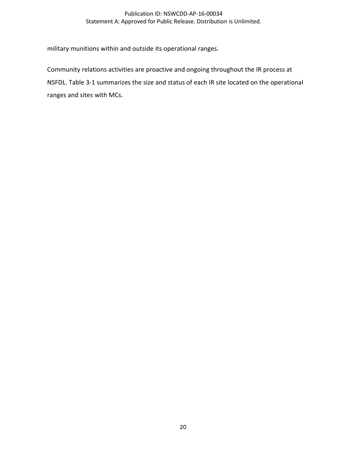military munitions within and outside its operational ranges.

Community relations activities are proactive and ongoing throughout the IR process at NSFDL. Table 3-1 summarizes the size and status of each IR site located on the operational ranges and sites with MCs.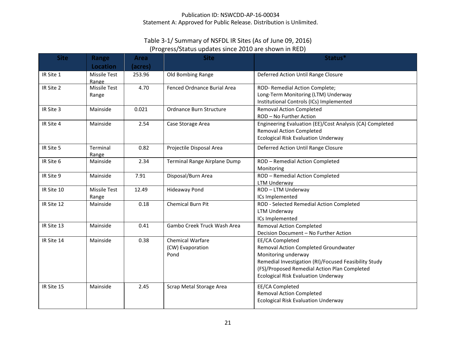#### Table 3-1/ Summary of NSFDL IR Sites (As of June 09, 2016) (Progress/Status updates since 2010 are shown in RED)

| <b>Site</b> | Range<br><b>Location</b>     | <b>Area</b><br>(acres) | <b>Site</b>                                         | Status*                                                                                                                                                                                                                               |
|-------------|------------------------------|------------------------|-----------------------------------------------------|---------------------------------------------------------------------------------------------------------------------------------------------------------------------------------------------------------------------------------------|
| IR Site 1   | Missile Test<br>Range        | 253.96                 | Old Bombing Range                                   | Deferred Action Until Range Closure                                                                                                                                                                                                   |
| IR Site 2   | <b>Missile Test</b><br>Range | 4.70                   | Fenced Ordnance Burial Area                         | ROD- Remedial Action Complete;<br>Long-Term Monitoring (LTM) Underway<br>Institutional Controls (ICs) Implemented                                                                                                                     |
| IR Site 3   | Mainside                     | 0.021                  | Ordnance Burn Structure                             | <b>Removal Action Completed</b><br>ROD - No Further Action                                                                                                                                                                            |
| IR Site 4   | Mainside                     | 2.54                   | Case Storage Area                                   | Engineering Evaluation (EE)/Cost Analysis (CA) Completed<br><b>Removal Action Completed</b><br><b>Ecological Risk Evaluation Underway</b>                                                                                             |
| IR Site 5   | Terminal<br>Range            | 0.82                   | Projectile Disposal Area                            | Deferred Action Until Range Closure                                                                                                                                                                                                   |
| IR Site 6   | Mainside                     | 2.34                   | Terminal Range Airplane Dump                        | ROD - Remedial Action Completed<br>Monitoring                                                                                                                                                                                         |
| IR Site 9   | Mainside                     | 7.91                   | Disposal/Burn Area                                  | ROD - Remedial Action Completed<br><b>LTM Underway</b>                                                                                                                                                                                |
| IR Site 10  | <b>Missile Test</b><br>Range | 12.49                  | <b>Hideaway Pond</b>                                | ROD-LTM Underway<br>ICs Implemented                                                                                                                                                                                                   |
| IR Site 12  | Mainside                     | 0.18                   | <b>Chemical Burn Pit</b>                            | ROD - Selected Remedial Action Completed<br><b>LTM Underway</b><br>ICs Implemented                                                                                                                                                    |
| IR Site 13  | Mainside                     | 0.41                   | Gambo Creek Truck Wash Area                         | <b>Removal Action Completed</b><br>Decision Document - No Further Action                                                                                                                                                              |
| IR Site 14  | Mainside                     | 0.38                   | <b>Chemical Warfare</b><br>(CW) Evaporation<br>Pond | EE/CA Completed<br>Removal Action Completed Groundwater<br>Monitoring underway<br>Remedial Investigation (RI)/Focused Feasibility Study<br>(FS)/Proposed Remedial Action Plan Completed<br><b>Ecological Risk Evaluation Underway</b> |
| IR Site 15  | Mainside                     | 2.45                   | Scrap Metal Storage Area                            | EE/CA Completed<br><b>Removal Action Completed</b><br><b>Ecological Risk Evaluation Underway</b>                                                                                                                                      |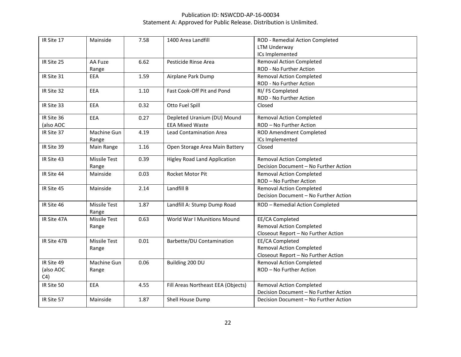| IR Site 17                  | Mainside                     | 7.58 | 1400 Area Landfill                  | ROD - Remedial Action Completed<br>LTM Underway |
|-----------------------------|------------------------------|------|-------------------------------------|-------------------------------------------------|
|                             |                              |      |                                     | ICs Implemented                                 |
| IR Site 25                  | AA Fuze                      | 6.62 | Pesticide Rinse Area                | <b>Removal Action Completed</b>                 |
|                             | Range                        |      |                                     | ROD - No Further Action                         |
| IR Site 31                  | EEA                          | 1.59 | Airplane Park Dump                  | <b>Removal Action Completed</b>                 |
|                             |                              |      |                                     | ROD - No Further Action                         |
| IR Site 32                  | EEA                          | 1.10 | Fast Cook-Off Pit and Pond          | RI/FS Completed                                 |
|                             |                              |      |                                     | ROD - No Further Action                         |
| IR Site 33                  | EEA                          | 0.32 | Otto Fuel Spill                     | Closed                                          |
| IR Site 36                  | EEA                          | 0.27 | Depleted Uranium (DU) Mound         | <b>Removal Action Completed</b>                 |
| (also AOC                   |                              |      | <b>EEA Mixed Waste</b>              | ROD - No Further Action                         |
| IR Site 37                  | Machine Gun                  | 4.19 | <b>Lead Contamination Area</b>      | <b>ROD Amendment Completed</b>                  |
|                             | Range                        |      |                                     | ICs Implemented                                 |
| IR Site 39                  | Main Range                   | 1.16 | Open Storage Area Main Battery      | Closed                                          |
| IR Site 43                  | <b>Missile Test</b>          | 0.39 | <b>Higley Road Land Application</b> | <b>Removal Action Completed</b>                 |
|                             | Range                        |      |                                     | Decision Document - No Further Action           |
| IR Site 44                  | Mainside                     | 0.03 | Rocket Motor Pit                    | <b>Removal Action Completed</b>                 |
|                             |                              |      |                                     | ROD - No Further Action                         |
| IR Site 45                  | Mainside                     | 2.14 | Landfill B                          | <b>Removal Action Completed</b>                 |
|                             |                              |      |                                     | Decision Document - No Further Action           |
| IR Site 46                  | <b>Missile Test</b><br>Range | 1.87 | Landfill A: Stump Dump Road         | ROD - Remedial Action Completed                 |
| IR Site 47A                 | Missile Test                 | 0.63 | World War I Munitions Mound         | EE/CA Completed                                 |
|                             | Range                        |      |                                     | <b>Removal Action Completed</b>                 |
|                             |                              |      |                                     | Closeout Report - No Further Action             |
| IR Site 47B                 | <b>Missile Test</b>          | 0.01 | Barbette/DU Contamination           | EE/CA Completed                                 |
|                             | Range                        |      |                                     | <b>Removal Action Completed</b>                 |
|                             |                              |      |                                     | Closeout Report - No Further Action             |
| IR Site 49                  | Machine Gun                  | 0.06 | Building 200 DU                     | <b>Removal Action Completed</b>                 |
| (also AOC<br>C <sub>4</sub> | Range                        |      |                                     | ROD - No Further Action                         |
| IR Site 50                  | EEA                          | 4.55 | Fill Areas Northeast EEA (Objects)  | <b>Removal Action Completed</b>                 |
|                             |                              |      |                                     | Decision Document - No Further Action           |
| IR Site 57                  | Mainside                     | 1.87 | Shell House Dump                    | Decision Document - No Further Action           |
|                             |                              |      |                                     |                                                 |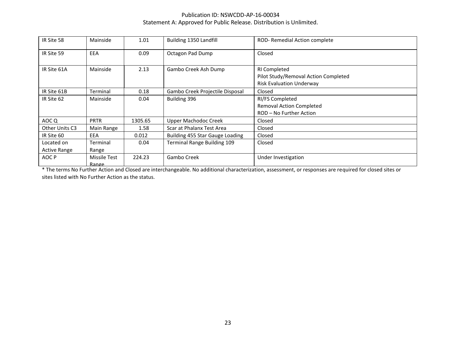| IR Site 58          | Mainside     | 1.01    | Building 1350 Landfill             | ROD-Remedial Action complete         |
|---------------------|--------------|---------|------------------------------------|--------------------------------------|
| IR Site 59          | EEA          | 0.09    | Octagon Pad Dump                   | Closed                               |
| IR Site 61A         | Mainside     | 2.13    | Gambo Creek Ash Dump               | <b>RI</b> Completed                  |
|                     |              |         |                                    | Pilot Study/Removal Action Completed |
|                     |              |         |                                    | <b>Risk Evaluation Underway</b>      |
| IR Site 61B         | Terminal     | 0.18    | Gambo Creek Projectile Disposal    | Closed                               |
| IR Site 62          | Mainside     | 0.04    | Building 396                       | <b>RI/FS Completed</b>               |
|                     |              |         |                                    | <b>Removal Action Completed</b>      |
|                     |              |         |                                    | ROD - No Further Action              |
| AOC Q               | <b>PRTR</b>  | 1305.65 | <b>Upper Machodoc Creek</b>        | Closed                               |
| Other Units C3      | Main Range   | 1.58    | Scar at Phalanx Test Area          | Closed                               |
| IR Site 60          | EEA          | 0.012   | Building 455 Star Gauge Loading    | Closed                               |
| Located on          | Terminal     | 0.04    | <b>Terminal Range Building 109</b> | Closed                               |
| <b>Active Range</b> | Range        |         |                                    |                                      |
| AOC P               | Missile Test | 224.23  | Gambo Creek                        | Under Investigation                  |
|                     | Range        |         |                                    |                                      |

\* The terms No Further Action and Closed are interchangeable. No additional characterization, assessment, or responses are required for closed sites or sites listed with No Further Action as the status.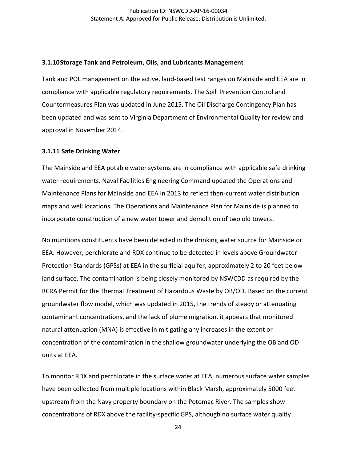#### <span id="page-23-0"></span>**3.1.10Storage Tank and Petroleum, Oils, and Lubricants Management**

Tank and POL management on the active, land-based test ranges on Mainside and EEA are in compliance with applicable regulatory requirements. The Spill Prevention Control and Countermeasures Plan was updated in June 2015. The Oil Discharge Contingency Plan has been updated and was sent to Virginia Department of Environmental Quality for review and approval in November 2014.

#### <span id="page-23-1"></span>**3.1.11 Safe Drinking Water**

The Mainside and EEA potable water systems are in compliance with applicable safe drinking water requirements. Naval Facilities Engineering Command updated the Operations and Maintenance Plans for Mainside and EEA in 2013 to reflect then-current water distribution maps and well locations. The Operations and Maintenance Plan for Mainside is planned to incorporate construction of a new water tower and demolition of two old towers.

No munitions constituents have been detected in the drinking water source for Mainside or EEA. However, perchlorate and RDX continue to be detected in levels above Groundwater Protection Standards (GPSs) at EEA in the surficial aquifer, approximately 2 to 20 feet below land surface. The contamination is being closely monitored by NSWCDD as required by the RCRA Permit for the Thermal Treatment of Hazardous Waste by OB/OD. Based on the current groundwater flow model, which was updated in 2015, the trends of steady or attenuating contaminant concentrations, and the lack of plume migration, it appears that monitored natural attenuation (MNA) is effective in mitigating any increases in the extent or concentration of the contamination in the shallow groundwater underlying the OB and OD units at EEA.

To monitor RDX and perchlorate in the surface water at EEA, numerous surface water samples have been collected from multiple locations within Black Marsh, approximately 5000 feet upstream from the Navy property boundary on the Potomac River. The samples show concentrations of RDX above the facility-specific GPS, although no surface water quality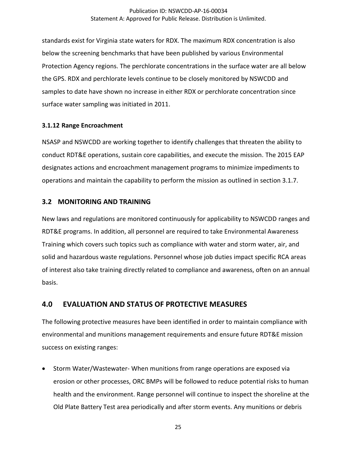standards exist for Virginia state waters for RDX. The maximum RDX concentration is also below the screening benchmarks that have been published by various Environmental Protection Agency regions. The perchlorate concentrations in the surface water are all below the GPS. RDX and perchlorate levels continue to be closely monitored by NSWCDD and samples to date have shown no increase in either RDX or perchlorate concentration since surface water sampling was initiated in 2011.

#### <span id="page-24-0"></span>**3.1.12 Range Encroachment**

NSASP and NSWCDD are working together to identify challenges that threaten the ability to conduct RDT&E operations, sustain core capabilities, and execute the mission. The 2015 EAP designates actions and encroachment management programs to minimize impediments to operations and maintain the capability to perform the mission as outlined in section 3.1.7.

## <span id="page-24-1"></span>**3.2 MONITORING AND TRAINING**

New laws and regulations are monitored continuously for applicability to NSWCDD ranges and RDT&E programs. In addition, all personnel are required to take Environmental Awareness Training which covers such topics such as compliance with water and storm water, air, and solid and hazardous waste regulations. Personnel whose job duties impact specific RCA areas of interest also take training directly related to compliance and awareness, often on an annual basis.

# <span id="page-24-2"></span>**4.0 EVALUATION AND STATUS OF PROTECTIVE MEASURES**

The following protective measures have been identified in order to maintain compliance with environmental and munitions management requirements and ensure future RDT&E mission success on existing ranges:

• Storm Water/Wastewater- When munitions from range operations are exposed via erosion or other processes, ORC BMPs will be followed to reduce potential risks to human health and the environment. Range personnel will continue to inspect the shoreline at the Old Plate Battery Test area periodically and after storm events. Any munitions or debris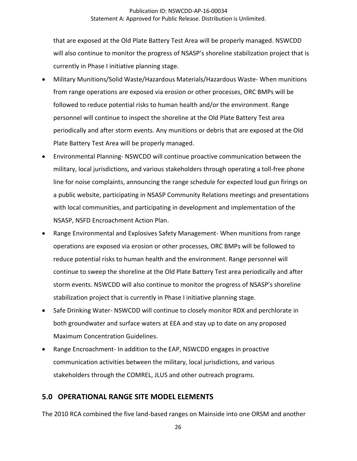that are exposed at the Old Plate Battery Test Area will be properly managed. NSWCDD will also continue to monitor the progress of NSASP's shoreline stabilization project that is currently in Phase I initiative planning stage.

- Military Munitions/Solid Waste/Hazardous Materials/Hazardous Waste- When munitions from range operations are exposed via erosion or other processes, ORC BMPs will be followed to reduce potential risks to human health and/or the environment. Range personnel will continue to inspect the shoreline at the Old Plate Battery Test area periodically and after storm events. Any munitions or debris that are exposed at the Old Plate Battery Test Area will be properly managed.
- Environmental Planning- NSWCDD will continue proactive communication between the military, local jurisdictions, and various stakeholders through operating a toll-free phone line for noise complaints, announcing the range schedule for expected loud gun firings on a public website, participating in NSASP Community Relations meetings and presentations with local communities, and participating in development and implementation of the NSASP, NSFD Encroachment Action Plan.
- Range Environmental and Explosives Safety Management- When munitions from range operations are exposed via erosion or other processes, ORC BMPs will be followed to reduce potential risks to human health and the environment. Range personnel will continue to sweep the shoreline at the Old Plate Battery Test area periodically and after storm events. NSWCDD will also continue to monitor the progress of NSASP's shoreline stabilization project that is currently in Phase I initiative planning stage.
- Safe Drinking Water- NSWCDD will continue to closely monitor RDX and perchlorate in both groundwater and surface waters at EEA and stay up to date on any proposed Maximum Concentration Guidelines.
- Range Encroachment- In addition to the EAP, NSWCDD engages in proactive communication activities between the military, local jurisdictions, and various stakeholders through the COMREL, JLUS and other outreach programs.

# <span id="page-25-0"></span>**5.0 OPERATIONAL RANGE SITE MODEL ELEMENTS**

The 2010 RCA combined the five land-based ranges on Mainside into one ORSM and another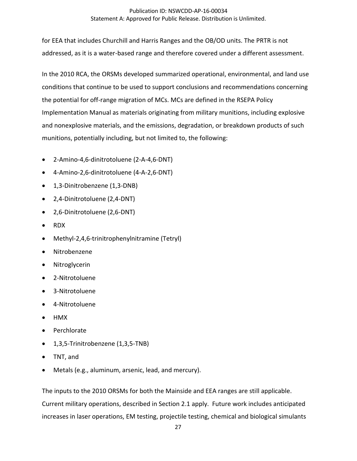for EEA that includes Churchill and Harris Ranges and the OB/OD units. The PRTR is not addressed, as it is a water-based range and therefore covered under a different assessment.

In the 2010 RCA, the ORSMs developed summarized operational, environmental, and land use conditions that continue to be used to support conclusions and recommendations concerning the potential for off-range migration of MCs. MCs are defined in the RSEPA Policy Implementation Manual as materials originating from military munitions, including explosive and nonexplosive materials, and the emissions, degradation, or breakdown products of such munitions, potentially including, but not limited to, the following:

- 2-Amino-4,6-dinitrotoluene (2-A-4,6-DNT)
- 4-Amino-2,6-dinitrotoluene (4-A-2,6-DNT)
- 1,3-Dinitrobenzene (1,3-DNB)
- 2,4-Dinitrotoluene (2,4-DNT)
- 2,6-Dinitrotoluene (2,6-DNT)
- RDX
- Methyl-2,4,6-trinitrophenylnitramine (Tetryl)
- Nitrobenzene
- Nitroglycerin
- 2-Nitrotoluene
- 3-Nitrotoluene
- 4-Nitrotoluene
- HMX
- Perchlorate
- 1,3,5-Trinitrobenzene (1,3,5-TNB)
- TNT, and
- Metals (e.g., aluminum, arsenic, lead, and mercury).

The inputs to the 2010 ORSMs for both the Mainside and EEA ranges are still applicable. Current military operations, described in Section 2.1 apply. Future work includes anticipated increases in laser operations, EM testing, projectile testing, chemical and biological simulants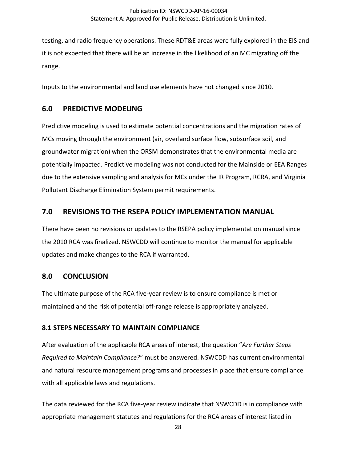testing, and radio frequency operations. These RDT&E areas were fully explored in the EIS and it is not expected that there will be an increase in the likelihood of an MC migrating off the range.

Inputs to the environmental and land use elements have not changed since 2010.

# <span id="page-27-0"></span>**6.0 PREDICTIVE MODELING**

Predictive modeling is used to estimate potential concentrations and the migration rates of MCs moving through the environment (air, overland surface flow, subsurface soil, and groundwater migration) when the ORSM demonstrates that the environmental media are potentially impacted. Predictive modeling was not conducted for the Mainside or EEA Ranges due to the extensive sampling and analysis for MCs under the IR Program, RCRA, and Virginia Pollutant Discharge Elimination System permit requirements.

# <span id="page-27-1"></span>**7.0 REVISIONS TO THE RSEPA POLICY IMPLEMENTATION MANUAL**

There have been no revisions or updates to the RSEPA policy implementation manual since the 2010 RCA was finalized. NSWCDD will continue to monitor the manual for applicable updates and make changes to the RCA if warranted.

# <span id="page-27-2"></span>**8.0 CONCLUSION**

The ultimate purpose of the RCA five-year review is to ensure compliance is met or maintained and the risk of potential off-range release is appropriately analyzed.

# <span id="page-27-3"></span>**8.1 STEPS NECESSARY TO MAINTAIN COMPLIANCE**

After evaluation of the applicable RCA areas of interest, the question "*Are Further Steps Required to Maintain Compliance?*" must be answered. NSWCDD has current environmental and natural resource management programs and processes in place that ensure compliance with all applicable laws and regulations.

The data reviewed for the RCA five-year review indicate that NSWCDD is in compliance with appropriate management statutes and regulations for the RCA areas of interest listed in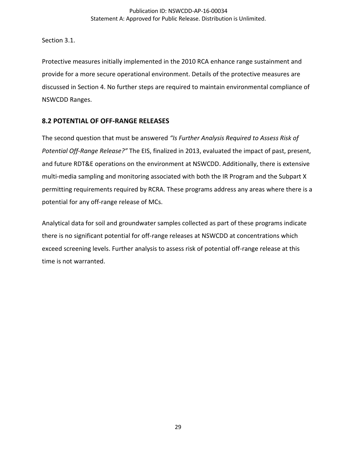Section 3.1.

Protective measures initially implemented in the 2010 RCA enhance range sustainment and provide for a more secure operational environment. Details of the protective measures are discussed in Section 4. No further steps are required to maintain environmental compliance of NSWCDD Ranges.

# <span id="page-28-0"></span>**8.2 POTENTIAL OF OFF-RANGE RELEASES**

The second question that must be answered *"Is Further Analysis Required to Assess Risk of Potential Off-Range Release?"* The EIS, finalized in 2013, evaluated the impact of past, present, and future RDT&E operations on the environment at NSWCDD. Additionally, there is extensive multi-media sampling and monitoring associated with both the IR Program and the Subpart X permitting requirements required by RCRA. These programs address any areas where there is a potential for any off-range release of MCs.

Analytical data for soil and groundwater samples collected as part of these programs indicate there is no significant potential for off-range releases at NSWCDD at concentrations which exceed screening levels. Further analysis to assess risk of potential off-range release at this time is not warranted.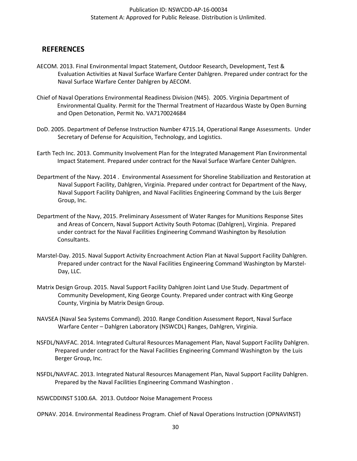## <span id="page-29-0"></span>**REFERENCES**

- AECOM. 2013. Final Environmental Impact Statement, Outdoor Research, Development, Test & Evaluation Activities at Naval Surface Warfare Center Dahlgren. Prepared under contract for the Naval Surface Warfare Center Dahlgren by AECOM.
- Chief of Naval Operations Environmental Readiness Division (N45). 2005. Virginia Department of Environmental Quality. Permit for the Thermal Treatment of Hazardous Waste by Open Burning and Open Detonation, Permit No. VA7170024684
- DoD. 2005. Department of Defense Instruction Number 4715.14, Operational Range Assessments. Under Secretary of Defense for Acquisition, Technology, and Logistics.
- Earth Tech Inc. 2013. Community Involvement Plan for the Integrated Management Plan Environmental Impact Statement. Prepared under contract for the Naval Surface Warfare Center Dahlgren.
- Department of the Navy. 2014 . Environmental Assessment for Shoreline Stabilization and Restoration at Naval Support Facility, Dahlgren, Virginia. Prepared under contract for Department of the Navy, Naval Support Facility Dahlgren, and Naval Facilities Engineering Command by the Luis Berger Group, Inc.
- Department of the Navy, 2015. Preliminary Assessment of Water Ranges for Munitions Response Sites and Areas of Concern, Naval Support Activity South Potomac (Dahlgren), Virginia. Prepared under contract for the Naval Facilities Engineering Command Washington by Resolution Consultants.
- Marstel-Day. 2015. Naval Support Activity Encroachment Action Plan at Naval Support Facility Dahlgren. Prepared under contract for the Naval Facilities Engineering Command Washington by Marstel-Day, LLC.
- Matrix Design Group. 2015. Naval Support Facility Dahlgren Joint Land Use Study. Department of Community Development, King George County. Prepared under contract with King George County, Virginia by Matrix Design Group.
- NAVSEA (Naval Sea Systems Command). 2010. Range Condition Assessment Report, Naval Surface Warfare Center – Dahlgren Laboratory (NSWCDL) Ranges, Dahlgren, Virginia.
- NSFDL/NAVFAC. 2014. Integrated Cultural Resources Management Plan, Naval Support Facility Dahlgren. Prepared under contract for the Naval Facilities Engineering Command Washington by the Luis Berger Group, Inc.
- NSFDL/NAVFAC. 2013. Integrated Natural Resources Management Plan, Naval Support Facility Dahlgren. Prepared by the Naval Facilities Engineering Command Washington .

NSWCDDINST 5100.6A. 2013. Outdoor Noise Management Process

OPNAV. 2014. Environmental Readiness Program. Chief of Naval Operations Instruction (OPNAVINST)